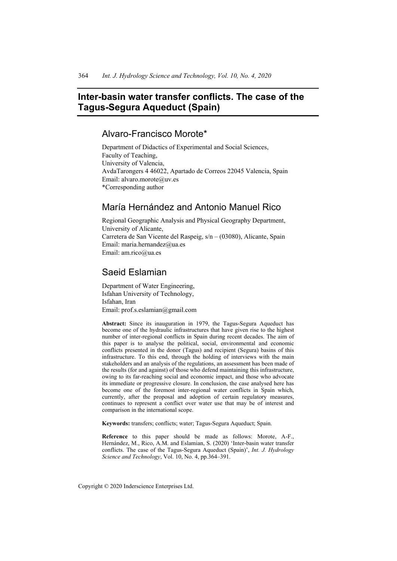# **Inter-basin water transfer conflicts. The case of the Tagus-Segura Aqueduct (Spain)**

## Alvaro-Francisco Morote\*

Department of Didactics of Experimental and Social Sciences, Faculty of Teaching, University of Valencia, AvdaTarongers 4 46022, Apartado de Correos 22045 Valencia, Spain Email: alvaro.morote@uv.es \*Corresponding author

# María Hernández and Antonio Manuel Rico

Regional Geographic Analysis and Physical Geography Department, University of Alicante, Carretera de San Vicente del Raspeig, s/n – (03080), Alicante, Spain Email: maria.hernandez@ua.es Email: am.rico@ua.es

# Saeid Eslamian

Department of Water Engineering, Isfahan University of Technology, Isfahan, Iran Email: prof.s.eslamian@gmail.com

**Abstract:** Since its inauguration in 1979, the Tagus-Segura Aqueduct has become one of the hydraulic infrastructures that have given rise to the highest number of inter-regional conflicts in Spain during recent decades. The aim of this paper is to analyse the political, social, environmental and economic conflicts presented in the donor (Tagus) and recipient (Segura) basins of this infrastructure. To this end, through the holding of interviews with the main stakeholders and an analysis of the regulations, an assessment has been made of the results (for and against) of those who defend maintaining this infrastructure, owing to its far-reaching social and economic impact, and those who advocate its immediate or progressive closure. In conclusion, the case analysed here has become one of the foremost inter-regional water conflicts in Spain which, currently, after the proposal and adoption of certain regulatory measures, continues to represent a conflict over water use that may be of interest and comparison in the international scope.

**Keywords:** transfers; conflicts; water; Tagus-Segura Aqueduct; Spain.

**Reference** to this paper should be made as follows: Morote, A-F., Hernández, M., Rico, A.M. and Eslamian, S. (2020) 'Inter-basin water transfer conflicts. The case of the Tagus-Segura Aqueduct (Spain)', *Int. J. Hydrology Science and Technology*, Vol. 10, No. 4, pp.364–391.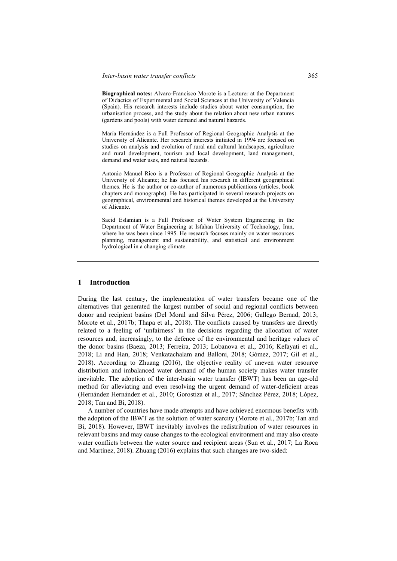**Biographical notes:** Alvaro-Francisco Morote is a Lecturer at the Department of Didactics of Experimental and Social Sciences at the University of Valencia (Spain). His research interests include studies about water consumption, the urbanisation process, and the study about the relation about new urban natures (gardens and pools) with water demand and natural hazards.

María Hernández is a Full Professor of Regional Geographic Analysis at the University of Alicante. Her research interests initiated in 1994 are focused on studies on analysis and evolution of rural and cultural landscapes, agriculture and rural development, tourism and local development, land management, demand and water uses, and natural hazards.

Antonio Manuel Rico is a Professor of Regional Geographic Analysis at the University of Alicante; he has focused his research in different geographical themes. He is the author or co-author of numerous publications (articles, book chapters and monographs). He has participated in several research projects on geographical, environmental and historical themes developed at the University of Alicante.

Saeid Eslamian is a Full Professor of Water System Engineering in the Department of Water Engineering at Isfahan University of Technology, Iran, where he was been since 1995. He research focuses mainly on water resources planning, management and sustainability, and statistical and environment hydrological in a changing climate.

#### **1 Introduction**

During the last century, the implementation of water transfers became one of the alternatives that generated the largest number of social and regional conflicts between donor and recipient basins (Del Moral and Silva Pérez, 2006; Gallego Bernad, 2013; Morote et al., 2017b; Thapa et al., 2018). The conflicts caused by transfers are directly related to a feeling of 'unfairness' in the decisions regarding the allocation of water resources and, increasingly, to the defence of the environmental and heritage values of the donor basins (Baeza, 2013; Ferreira, 2013; Lobanova et al., 2016; Kefayati et al., 2018; Li and Han, 2018; Venkatachalam and Balloni, 2018; Gómez, 2017; Gil et al., 2018). According to Zhuang (2016), the objective reality of uneven water resource distribution and imbalanced water demand of the human society makes water transfer inevitable. The adoption of the inter-basin water transfer (IBWT) has been an age-old method for alleviating and even resolving the urgent demand of water-deficient areas (Hernández Hernández et al., 2010; Gorostiza et al., 2017; Sánchez Pérez, 2018; López, 2018; Tan and Bi, 2018).

A number of countries have made attempts and have achieved enormous benefits with the adoption of the IBWT as the solution of water scarcity (Morote et al., 2017b; Tan and Bi, 2018). However, IBWT inevitably involves the redistribution of water resources in relevant basins and may cause changes to the ecological environment and may also create water conflicts between the water source and recipient areas (Sun et al., 2017; La Roca and Martínez, 2018). Zhuang (2016) explains that such changes are two-sided: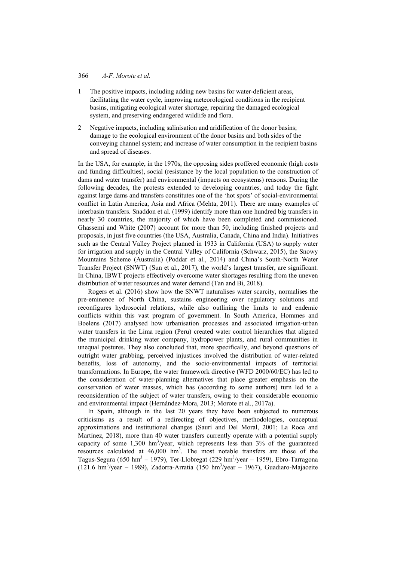- 1 The positive impacts, including adding new basins for water-deficient areas, facilitating the water cycle, improving meteorological conditions in the recipient basins, mitigating ecological water shortage, repairing the damaged ecological system, and preserving endangered wildlife and flora.
- 2 Negative impacts, including salinisation and aridification of the donor basins; damage to the ecological environment of the donor basins and both sides of the conveying channel system; and increase of water consumption in the recipient basins and spread of diseases.

In the USA, for example, in the 1970s, the opposing sides proffered economic (high costs and funding difficulties), social (resistance by the local population to the construction of dams and water transfer) and environmental (impacts on ecosystems) reasons. During the following decades, the protests extended to developing countries, and today the fight against large dams and transfers constitutes one of the 'hot spots' of social-environmental conflict in Latin America, Asia and Africa (Mehta, 2011). There are many examples of interbasin transfers. Snaddon et al. (1999) identify more than one hundred big transfers in nearly 30 countries, the majority of which have been completed and commissioned. Ghassemi and White (2007) account for more than 50, including finished projects and proposals, in just five countries (the USA, Australia, Canada, China and India). Initiatives such as the Central Valley Project planned in 1933 in California (USA) to supply water for irrigation and supply in the Central Valley of California (Schwarz, 2015), the Snowy Mountains Scheme (Australia) (Poddar et al., 2014) and China's South-North Water Transfer Project (SNWT) (Sun et al., 2017), the world's largest transfer, are significant. In China, IBWT projects effectively overcome water shortages resulting from the uneven distribution of water resources and water demand (Tan and Bi, 2018).

Rogers et al. (2016) show how the SNWT naturalises water scarcity, normalises the pre-eminence of North China, sustains engineering over regulatory solutions and reconfigures hydrosocial relations, while also outlining the limits to and endemic conflicts within this vast program of government. In South America, Hommes and Boelens (2017) analysed how urbanisation processes and associated irrigation-urban water transfers in the Lima region (Peru) created water control hierarchies that aligned the municipal drinking water company, hydropower plants, and rural communities in unequal postures. They also concluded that, more specifically, and beyond questions of outright water grabbing, perceived injustices involved the distribution of water-related benefits, loss of autonomy, and the socio-environmental impacts of territorial transformations. In Europe, the water framework directive (WFD 2000/60/EC) has led to the consideration of water-planning alternatives that place greater emphasis on the conservation of water masses, which has (according to some authors) turn led to a reconsideration of the subject of water transfers, owing to their considerable economic and environmental impact (Hernández-Mora, 2013; Morote et al., 2017a).

In Spain, although in the last 20 years they have been subjected to numerous criticisms as a result of a redirecting of objectives, methodologies, conceptual approximations and institutional changes (Saurí and Del Moral, 2001; La Roca and Martínez, 2018), more than 40 water transfers currently operate with a potential supply capacity of some  $1,300 \text{ hm}^3/\text{year}$ , which represents less than 3% of the guaranteed resources calculated at  $46,000$   $\text{hm}^3$ . The most notable transfers are those of the Tagus-Segura (650 hm<sup>3</sup> – 1979), Ter-Llobregat (229 hm<sup>3</sup>/year – 1959), Ebro-Tarragona (121.6 hm<sup>3</sup>/year - 1989), Zadorra-Arratia (150 hm<sup>3</sup>/year - 1967), Guadiaro-Majaceite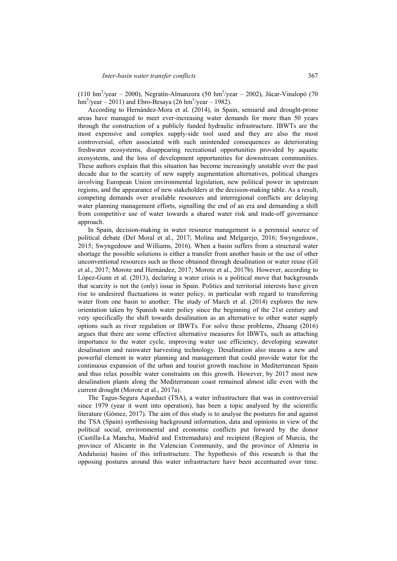$(110 \text{ hm}^3/\text{year} - 2000)$ , Negratín-Almanzora  $(50 \text{ hm}^3/\text{year} - 2002)$ , Júcar-Vinalopó  $(70 \text{ hm}^3/\text{year})$  $\text{hm}^3/\text{year} - 2011)$  and Ebro-Besaya (26  $\text{hm}^3/\text{year} - 1982$ ).

According to Hernández-Mora et al. (2014), in Spain, semiarid and drought-prone areas have managed to meet ever-increasing water demands for more than 50 years through the construction of a publicly funded hydraulic infrastructure. IBWTs are the most expensive and complex supply-side tool used and they are also the most controversial, often associated with such unintended consequences as deteriorating freshwater ecosystems, disappearing recreational opportunities provided by aquatic ecosystems, and the loss of development opportunities for downstream communities. These authors explain that this situation has become increasingly unstable over the past decade due to the scarcity of new supply augmentation alternatives, political changes involving European Union environmental legislation, new political power in upstream regions, and the appearance of new stakeholders at the decision-making table. As a result, competing demands over available resources and interregional conflicts are delaying water planning management efforts, signalling the end of an era and demanding a shift from competitive use of water towards a shared water risk and trade-off governance approach.

In Spain, decision-making in water resource management is a perennial source of political debate (Del Moral et al., 2017; Molina and Melgarejo, 2016; Swyngedouw, 2015; Swyngedouw and Williams, 2016). When a basin suffers from a structural water shortage the possible solutions is either a transfer from another basin or the use of other unconventional resources such as those obtained through desalination or water reuse (Gil et al., 2017; Morote and Hernández, 2017; Morote et al., 2017b). However, according to López-Gunn et al. (2013), declaring a water crisis is a political move that backgrounds that scarcity is not the (only) issue in Spain. Politics and territorial interests have given rise to undesired fluctuations in water policy, in particular with regard to transferring water from one basin to another. The study of March et al. (2014) explores the new orientation taken by Spanish water policy since the beginning of the 21st century and very specifically the shift towards desalination as an alternative to other water supply options such as river regulation or IBWTs. For solve these problems, Zhuang (2016) argues that there are some effective alternative measures for IBWTs, such as attaching importance to the water cycle, improving water use efficiency, developing seawater desalination and rainwater harvesting technology. Desalination also means a new and powerful element in water planning and management that could provide water for the continuous expansion of the urban and tourist growth machine in Mediterranean Spain and thus relax possible water constraints on this growth. However, by 2017 most new desalination plants along the Mediterranean coast remained almost idle even with the current drought (Morote et al., 2017a).

The Tagus-Segura Aqueduct (TSA), a water infrastructure that was in controversial since 1979 (year it went into operation), has been a topic analysed by the scientific literature (Gómez, 2017). The aim of this study is to analyse the postures for and against the TSA (Spain) synthesising background information, data and opinions in view of the political social, environmental and economic conflicts put forward by the donor (Castilla-La Mancha, Madrid and Extremadura) and recipient (Region of Murcia, the province of Alicante in the Valencian Community, and the province of Almeria in Andalusia) basins of this infrastructure. The hypothesis of this research is that the opposing postures around this water infrastructure have been accentuated over time.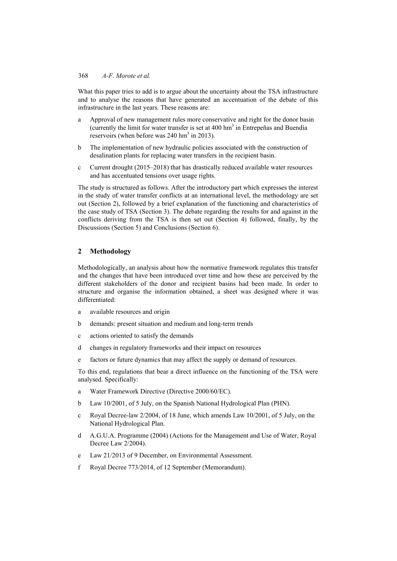What this paper tries to add is to argue about the uncertainty about the TSA infrastructure and to analyse the reasons that have generated an accentuation of the debate of this infrastructure in the last years. These reasons are:

- a Approval of new management rules more conservative and right for the donor basin (currently the limit for water transfer is set at  $400 \text{ hm}^3$  in Entrepeñas and Buendía reservoirs (when before was  $240 \text{ hm}^3$  in  $2013$ ).
- b The implementation of new hydraulic policies associated with the construction of desalination plants for replacing water transfers in the recipient basin.
- c Current drought (2015–2018) that has drastically reduced available water resources and has accentuated tensions over usage rights.

The study is structured as follows. After the introductory part which expresses the interest in the study of water transfer conflicts at an international level, the methodology are set out (Section 2), followed by a brief explanation of the functioning and characteristics of the case study of TSA (Section 3). The debate regarding the results for and against in the conflicts deriving from the TSA is then set out (Section 4) followed, finally, by the Discussions (Section 5) and Conclusions (Section 6).

## **2 Methodology**

Methodologically, an analysis about how the normative framework regulates this transfer and the changes that have been introduced over time and how these are perceived by the different stakeholders of the donor and recipient basins had been made. In order to structure and organise the information obtained, a sheet was designed where it was differentiated:

- a available resources and origin
- b demands: present situation and medium and long-term trends
- c actions oriented to satisfy the demands
- d changes in regulatory frameworks and their impact on resources
- e factors or future dynamics that may affect the supply or demand of resources.

To this end, regulations that bear a direct influence on the functioning of the TSA were analysed. Specifically:

- a Water Framework Directive (Directive 2000/60/EC).
- b Law 10/2001, of 5 July, on the Spanish National Hydrological Plan (PHN).
- c Royal Decree-law 2/2004, of 18 June, which amends Law 10/2001, of 5 July, on the National Hydrological Plan.
- d A.G.U.A. Programme (2004) (Actions for the Management and Use of Water, Royal Decree Law 2/2004).
- e Law 21/2013 of 9 December, on Environmental Assessment.
- f Royal Decree 773/2014, of 12 September (Memorandum).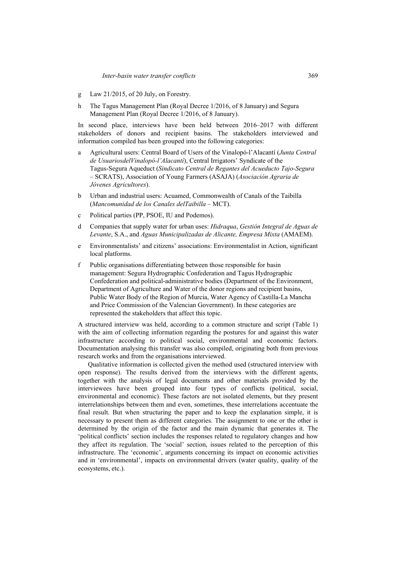- g Law 21/2015, of 20 July, on Forestry.
- h The Tagus Management Plan (Royal Decree 1/2016, of 8 January) and Segura Management Plan (Royal Decree 1/2016, of 8 January).

In second place, interviews have been held between 2016–2017 with different stakeholders of donors and recipient basins. The stakeholders interviewed and information compiled has been grouped into the following categories:

- a Agricultural users: Central Board of Users of the Vinalopó-l'Alacantí (*Junta Central de UsuariosdelVinalopó-l'Alacantí*), Central Irrigators' Syndicate of the Tagus-Segura Aqueduct (*Sindicato Central de Regantes del Acueducto Tajo-Segura* – SCRATS), Association of Young Farmers (ASAJA) (*Asociación Agraria de Jóvenes Agricultores*).
- b Urban and industrial users: Acuamed, Commonwealth of Canals of the Taibilla (*Mancomunidad de los Canales delTaibilla* – MCT).
- c Political parties (PP, PSOE, IU and Podemos).
- d Companies that supply water for urban uses: *Hidraqua*, *Gestión Integral de Aguas de Levante*, S.A., and *Aguas Municipalizadas de Alicante, Empresa Mixta* (AMAEM).
- e Environmentalists' and citizens' associations: Environmentalist in Action, significant local platforms.
- f Public organisations differentiating between those responsible for basin management: Segura Hydrographic Confederation and Tagus Hydrographic Confederation and political-administrative bodies (Department of the Environment, Department of Agriculture and Water of the donor regions and recipient basins, Public Water Body of the Region of Murcia, Water Agency of Castilla-La Mancha and Price Commission of the Valencian Government). In these categories are represented the stakeholders that affect this topic.

A structured interview was held, according to a common structure and script (Table 1) with the aim of collecting information regarding the postures for and against this water infrastructure according to political social, environmental and economic factors. Documentation analysing this transfer was also compiled, originating both from previous research works and from the organisations interviewed.

Qualitative information is collected given the method used (structured interview with open response). The results derived from the interviews with the different agents, together with the analysis of legal documents and other materials provided by the interviewees have been grouped into four types of conflicts (political, social, environmental and economic). These factors are not isolated elements, but they present interrelationships between them and even, sometimes, these interrelations accentuate the final result. But when structuring the paper and to keep the explanation simple, it is necessary to present them as different categories. The assignment to one or the other is determined by the origin of the factor and the main dynamic that generates it. The 'political conflicts' section includes the responses related to regulatory changes and how they affect its regulation. The 'social' section, issues related to the perception of this infrastructure. The 'economic', arguments concerning its impact on economic activities and in 'environmental', impacts on environmental drivers (water quality, quality of the ecosystems, etc.).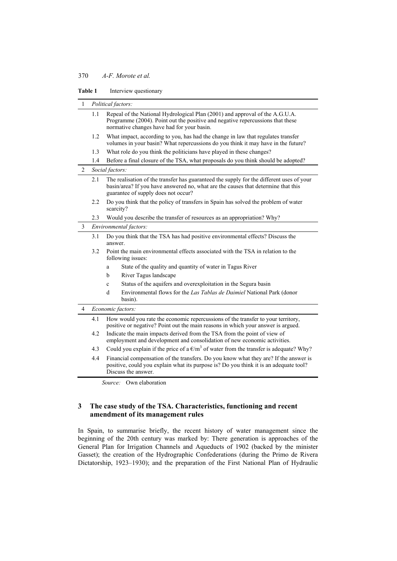**Table 1** Interview questionary

| $\mathbf{1}$   | Political factors:     |                                                                                                                                                                                                                      |  |  |
|----------------|------------------------|----------------------------------------------------------------------------------------------------------------------------------------------------------------------------------------------------------------------|--|--|
|                | 1.1                    | Repeal of the National Hydrological Plan (2001) and approval of the A.G.U.A.<br>Programme (2004). Point out the positive and negative repercussions that these<br>normative changes have had for your basin.         |  |  |
|                | 1.2                    | What impact, according to you, has had the change in law that regulates transfer<br>volumes in your basin? What repercussions do you think it may have in the future?                                                |  |  |
|                | 1.3                    | What role do you think the politicians have played in these changes?                                                                                                                                                 |  |  |
|                | 1.4                    | Before a final closure of the TSA, what proposals do you think should be adopted?                                                                                                                                    |  |  |
| $\overline{2}$ |                        | Social factors:                                                                                                                                                                                                      |  |  |
|                | 2.1                    | The realisation of the transfer has guaranteed the supply for the different uses of your<br>basin/area? If you have answered no, what are the causes that determine that this<br>guarantee of supply does not occur? |  |  |
|                | 2.2                    | Do you think that the policy of transfers in Spain has solved the problem of water<br>scarcity?                                                                                                                      |  |  |
|                | 2.3                    | Would you describe the transfer of resources as an appropriation? Why?                                                                                                                                               |  |  |
| $\mathfrak{Z}$ | Environmental factors: |                                                                                                                                                                                                                      |  |  |
|                | 3.1                    | Do you think that the TSA has had positive environmental effects? Discuss the<br>answer.                                                                                                                             |  |  |
|                | 3.2                    | Point the main environmental effects associated with the TSA in relation to the<br>following issues:                                                                                                                 |  |  |
|                |                        | State of the quality and quantity of water in Tagus River<br>a                                                                                                                                                       |  |  |
|                |                        | River Tagus landscape<br>b                                                                                                                                                                                           |  |  |
|                |                        | Status of the aquifers and overexploitation in the Segura basin<br>$\mathbf c$                                                                                                                                       |  |  |
|                |                        | d<br>Environmental flows for the Las Tablas de Daimiel National Park (donor<br>basin).                                                                                                                               |  |  |
| 4              | Economic factors:      |                                                                                                                                                                                                                      |  |  |
|                | 4.1                    | How would you rate the economic repercussions of the transfer to your territory,<br>positive or negative? Point out the main reasons in which your answer is argued.                                                 |  |  |
|                | 4.2                    | Indicate the main impacts derived from the TSA from the point of view of<br>employment and development and consolidation of new economic activities.                                                                 |  |  |
|                | 4.3                    | Could you explain if the price of a $\epsilon/m^3$ of water from the transfer is adequate? Why?                                                                                                                      |  |  |
|                | 4.4                    | Financial compensation of the transfers. Do you know what they are? If the answer is<br>positive, could you explain what its purpose is? Do you think it is an adequate tool?<br>Discuss the answer.                 |  |  |

*Source:* Own elaboration

## **3 The case study of the TSA. Characteristics, functioning and recent amendment of its management rules**

In Spain, to summarise briefly, the recent history of water management since the beginning of the 20th century was marked by: There generation is approaches of the General Plan for Irrigation Channels and Aqueducts of 1902 (backed by the minister Gasset); the creation of the Hydrographic Confederations (during the Primo de Rivera Dictatorship, 1923–1930); and the preparation of the First National Plan of Hydraulic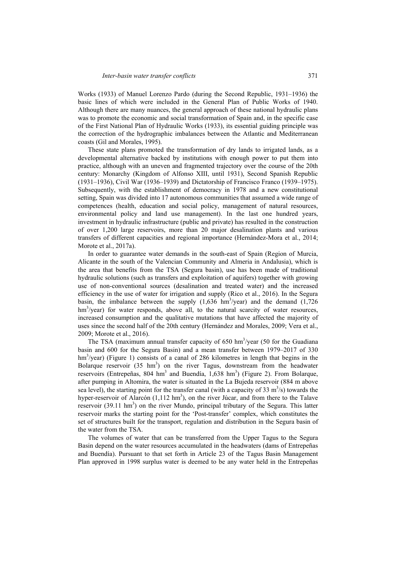Works (1933) of Manuel Lorenzo Pardo (during the Second Republic, 1931–1936) the basic lines of which were included in the General Plan of Public Works of 1940. Although there are many nuances, the general approach of these national hydraulic plans was to promote the economic and social transformation of Spain and, in the specific case of the First National Plan of Hydraulic Works (1933), its essential guiding principle was the correction of the hydrographic imbalances between the Atlantic and Mediterranean coasts (Gil and Morales, 1995).

These state plans promoted the transformation of dry lands to irrigated lands, as a developmental alternative backed by institutions with enough power to put them into practice, although with an uneven and fragmented trajectory over the course of the 20th century: Monarchy (Kingdom of Alfonso XIII, until 1931), Second Spanish Republic (1931–1936), Civil War (1936–1939) and Dictatorship of Francisco Franco (1939–1975). Subsequently, with the establishment of democracy in 1978 and a new constitutional setting, Spain was divided into 17 autonomous communities that assumed a wide range of competences (health, education and social policy, management of natural resources, environmental policy and land use management). In the last one hundred years, investment in hydraulic infrastructure (public and private) has resulted in the construction of over 1,200 large reservoirs, more than 20 major desalination plants and various transfers of different capacities and regional importance (Hernández-Mora et al., 2014; Morote et al., 2017a).

In order to guarantee water demands in the south-east of Spain (Region of Murcia, Alicante in the south of the Valencian Community and Almeria in Andalusia), which is the area that benefits from the TSA (Segura basin), use has been made of traditional hydraulic solutions (such as transfers and exploitation of aquifers) together with growing use of non-conventional sources (desalination and treated water) and the increased efficiency in the use of water for irrigation and supply (Rico et al., 2016). In the Segura basin, the imbalance between the supply  $(1,636 \text{ hm}^3/\text{year})$  and the demand  $(1,726 \text{$ hm<sup>3</sup>/year) for water responds, above all, to the natural scarcity of water resources, increased consumption and the qualitative mutations that have affected the majority of uses since the second half of the 20th century (Hernández and Morales, 2009; Vera et al., 2009; Morote et al., 2016).

The TSA (maximum annual transfer capacity of  $650 \text{ hm}^3\text{/year}$  (50 for the Guadiana basin and 600 for the Segura Basin) and a mean transfer between 1979–2017 of 330 hm<sup>3</sup>/year) (Figure 1) consists of a canal of 286 kilometres in length that begins in the Bolarque reservoir  $(35 \text{ hm}^3)$  on the river Tagus, downstream from the headwater reservoirs (Entrepeñas, 804 hm<sup>3</sup> and Buendía,  $1,638$  hm<sup>3</sup>) (Figure 2). From Bolarque, after pumping in Altomira, the water is situated in the La Bujeda reservoir (884 m above sea level), the starting point for the transfer canal (with a capacity of 33  $\text{m}^3\text{/s}$ ) towards the hyper-reservoir of Alarcón  $(1,112 \text{ hm}^3)$ , on the river Júcar, and from there to the Talave reservoir  $(39.11 \text{ hm}^3)$  on the river Mundo, principal tributary of the Segura. This latter reservoir marks the starting point for the 'Post-transfer' complex, which constitutes the set of structures built for the transport, regulation and distribution in the Segura basin of the water from the TSA.

The volumes of water that can be transferred from the Upper Tagus to the Segura Basin depend on the water resources accumulated in the headwaters (dams of Entrepeñas and Buendía). Pursuant to that set forth in Article 23 of the Tagus Basin Management Plan approved in 1998 surplus water is deemed to be any water held in the Entrepeñas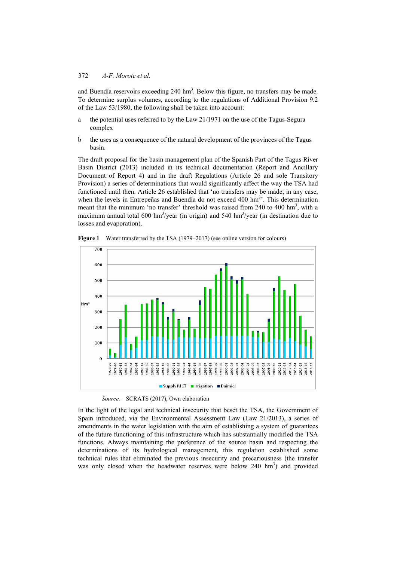and Buendía reservoirs exceeding  $240 \text{ hm}^3$ . Below this figure, no transfers may be made. To determine surplus volumes, according to the regulations of Additional Provision 9.2 of the Law 53/1980, the following shall be taken into account:

- a the potential uses referred to by the Law 21/1971 on the use of the Tagus-Segura complex
- b the uses as a consequence of the natural development of the provinces of the Tagus basin.

The draft proposal for the basin management plan of the Spanish Part of the Tagus River Basin District (2013) included in its technical documentation (Report and Ancillary Document of Report 4) and in the draft Regulations (Article 26 and sole Transitory Provision) a series of determinations that would significantly affect the way the TSA had functioned until then. Article 26 established that 'no transfers may be made, in any case, when the levels in Entrepeñas and Buendía do not exceed 400 hm<sup>3</sup>. This determination meant that the minimum 'no transfer' threshold was raised from 240 to 400 hm<sup>3</sup>, with a maximum annual total 600 hm<sup>3</sup>/year (in origin) and 540 hm<sup>3</sup>/year (in destination due to losses and evaporation).



**Figure 1** Water transferred by the TSA (1979–2017) (see online version for colours)

*Source:* SCRATS (2017), Own elaboration

In the light of the legal and technical insecurity that beset the TSA, the Government of Spain introduced, via the Environmental Assessment Law (Law 21/2013), a series of amendments in the water legislation with the aim of establishing a system of guarantees of the future functioning of this infrastructure which has substantially modified the TSA functions. Always maintaining the preference of the source basin and respecting the determinations of its hydrological management, this regulation established some technical rules that eliminated the previous insecurity and precariousness (the transfer was only closed when the headwater reserves were below 240  $\text{hm}^3$ ) and provided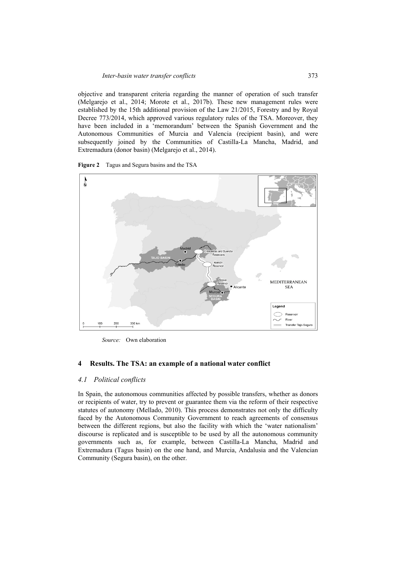objective and transparent criteria regarding the manner of operation of such transfer (Melgarejo et al., 2014; Morote et al., 2017b). These new management rules were established by the 15th additional provision of the Law 21/2015, Forestry and by Royal Decree 773/2014, which approved various regulatory rules of the TSA. Moreover, they have been included in a 'memorandum' between the Spanish Government and the Autonomous Communities of Murcia and Valencia (recipient basin), and were subsequently joined by the Communities of Castilla-La Mancha, Madrid, and Extremadura (donor basin) (Melgarejo et al., 2014).





*Source:* Own elaboration

## **4 Results. The TSA: an example of a national water conflict**

### *4.1 Political conflicts*

In Spain, the autonomous communities affected by possible transfers, whether as donors or recipients of water, try to prevent or guarantee them via the reform of their respective statutes of autonomy (Mellado, 2010). This process demonstrates not only the difficulty faced by the Autonomous Community Government to reach agreements of consensus between the different regions, but also the facility with which the 'water nationalism' discourse is replicated and is susceptible to be used by all the autonomous community governments such as, for example, between Castilla-La Mancha, Madrid and Extremadura (Tagus basin) on the one hand, and Murcia, Andalusia and the Valencian Community (Segura basin), on the other.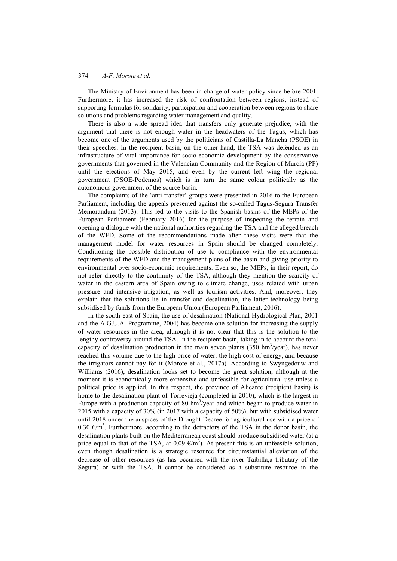The Ministry of Environment has been in charge of water policy since before 2001. Furthermore, it has increased the risk of confrontation between regions, instead of supporting formulas for solidarity, participation and cooperation between regions to share solutions and problems regarding water management and quality.

There is also a wide spread idea that transfers only generate prejudice, with the argument that there is not enough water in the headwaters of the Tagus, which has become one of the arguments used by the politicians of Castilla-La Mancha (PSOE) in their speeches. In the recipient basin, on the other hand, the TSA was defended as an infrastructure of vital importance for socio-economic development by the conservative governments that governed in the Valencian Community and the Region of Murcia (PP) until the elections of May 2015, and even by the current left wing the regional government (PSOE-Podemos) which is in turn the same colour politically as the autonomous government of the source basin.

The complaints of the 'anti-transfer' groups were presented in 2016 to the European Parliament, including the appeals presented against the so-called Tagus-Segura Transfer Memorandum (2013). This led to the visits to the Spanish basins of the MEPs of the European Parliament (February 2016) for the purpose of inspecting the terrain and opening a dialogue with the national authorities regarding the TSA and the alleged breach of the WFD. Some of the recommendations made after these visits were that the management model for water resources in Spain should be changed completely. Conditioning the possible distribution of use to compliance with the environmental requirements of the WFD and the management plans of the basin and giving priority to environmental over socio-economic requirements. Even so, the MEPs, in their report, do not refer directly to the continuity of the TSA, although they mention the scarcity of water in the eastern area of Spain owing to climate change, uses related with urban pressure and intensive irrigation, as well as tourism activities. And, moreover, they explain that the solutions lie in transfer and desalination, the latter technology being subsidised by funds from the European Union (European Parliament, 2016).

In the south-east of Spain, the use of desalination (National Hydrological Plan, 2001 and the A.G.U.A. Programme, 2004) has become one solution for increasing the supply of water resources in the area, although it is not clear that this is the solution to the lengthy controversy around the TSA. In the recipient basin, taking in to account the total capacity of desalination production in the main seven plants  $(350 \text{ hm}^3/\text{year})$ , has never reached this volume due to the high price of water, the high cost of energy, and because the irrigators cannot pay for it (Morote et al., 2017a). According to Swyngedouw and Williams (2016), desalination looks set to become the great solution, although at the moment it is economically more expensive and unfeasible for agricultural use unless a political price is applied. In this respect, the province of Alicante (recipient basin) is home to the desalination plant of Torrevieja (completed in 2010), which is the largest in Europe with a production capacity of 80  $\text{hm}^3$ /year and which began to produce water in 2015 with a capacity of 30% (in 2017 with a capacity of 50%), but with subsidised water until 2018 under the auspices of the Drought Decree for agricultural use with a price of 0.30  $\epsilon/m^3$ . Furthermore, according to the detractors of the TSA in the donor basin, the desalination plants built on the Mediterranean coast should produce subsidised water (at a price equal to that of the TSA, at 0.09  $\epsilon/m^3$ ). At present this is an unfeasible solution, even though desalination is a strategic resource for circumstantial alleviation of the decrease of other resources (as has occurred with the river Taibilla,a tributary of the Segura) or with the TSA. It cannot be considered as a substitute resource in the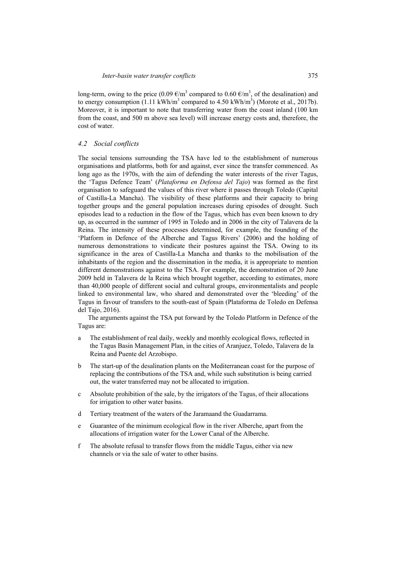long-term, owing to the price (0.09  $\epsilon/m^3$  compared to 0.60  $\epsilon/m^3$ , of the desalination) and to energy consumption (1.11 kWh/m<sup>3</sup> compared to 4.50 kWh/m<sup>3</sup>) (Morote et al., 2017b). Moreover, it is important to note that transferring water from the coast inland (100 km from the coast, and 500 m above sea level) will increase energy costs and, therefore, the cost of water.

#### *4.2 Social conflicts*

The social tensions surrounding the TSA have led to the establishment of numerous organisations and platforms, both for and against, ever since the transfer commenced. As long ago as the 1970s, with the aim of defending the water interests of the river Tagus, the 'Tagus Defence Team' (*Plataforma en Defensa del Tajo*) was formed as the first organisation to safeguard the values of this river where it passes through Toledo (Capital of Castilla-La Mancha). The visibility of these platforms and their capacity to bring together groups and the general population increases during episodes of drought. Such episodes lead to a reduction in the flow of the Tagus, which has even been known to dry up, as occurred in the summer of 1995 in Toledo and in 2006 in the city of Talavera de la Reina. The intensity of these processes determined, for example, the founding of the 'Platform in Defence of the Alberche and Tagus Rivers' (2006) and the holding of numerous demonstrations to vindicate their postures against the TSA. Owing to its significance in the area of Castilla-La Mancha and thanks to the mobilisation of the inhabitants of the region and the dissemination in the media, it is appropriate to mention different demonstrations against to the TSA. For example, the demonstration of 20 June 2009 held in Talavera de la Reina which brought together, according to estimates, more than 40,000 people of different social and cultural groups, environmentalists and people linked to environmental law, who shared and demonstrated over the 'bleeding' of the Tagus in favour of transfers to the south-east of Spain (Plataforma de Toledo en Defensa del Tajo, 2016).

The arguments against the TSA put forward by the Toledo Platform in Defence of the Tagus are:

- a The establishment of real daily, weekly and monthly ecological flows, reflected in the Tagus Basin Management Plan, in the cities of Aranjuez, Toledo, Talavera de la Reina and Puente del Arzobispo.
- b The start-up of the desalination plants on the Mediterranean coast for the purpose of replacing the contributions of the TSA and, while such substitution is being carried out, the water transferred may not be allocated to irrigation.
- c Absolute prohibition of the sale, by the irrigators of the Tagus, of their allocations for irrigation to other water basins.
- d Tertiary treatment of the waters of the Jaramaand the Guadarrama.
- e Guarantee of the minimum ecological flow in the river Alberche, apart from the allocations of irrigation water for the Lower Canal of the Alberche.
- f The absolute refusal to transfer flows from the middle Tagus, either via new channels or via the sale of water to other basins.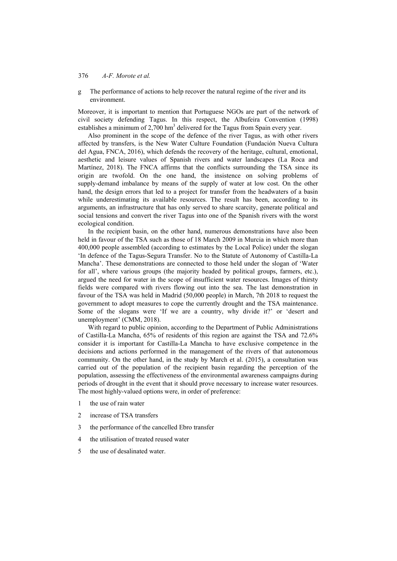g The performance of actions to help recover the natural regime of the river and its environment.

Moreover, it is important to mention that Portuguese NGOs are part of the network of civil society defending Tagus. In this respect, the Albufeira Convention (1998) establishes a minimum of 2,700  $\text{hm}^3$  delivered for the Tagus from Spain every year.

Also prominent in the scope of the defence of the river Tagus, as with other rivers affected by transfers, is the New Water Culture Foundation (Fundación Nueva Cultura del Agua, FNCA, 2016), which defends the recovery of the heritage, cultural, emotional, aesthetic and leisure values of Spanish rivers and water landscapes (La Roca and Martínez, 2018). The FNCA affirms that the conflicts surrounding the TSA since its origin are twofold. On the one hand, the insistence on solving problems of supply-demand imbalance by means of the supply of water at low cost. On the other hand, the design errors that led to a project for transfer from the headwaters of a basin while underestimating its available resources. The result has been, according to its arguments, an infrastructure that has only served to share scarcity, generate political and social tensions and convert the river Tagus into one of the Spanish rivers with the worst ecological condition.

In the recipient basin, on the other hand, numerous demonstrations have also been held in favour of the TSA such as those of 18 March 2009 in Murcia in which more than 400,000 people assembled (according to estimates by the Local Police) under the slogan 'In defence of the Tagus-Segura Transfer. No to the Statute of Autonomy of Castilla-La Mancha'. These demonstrations are connected to those held under the slogan of 'Water for all', where various groups (the majority headed by political groups, farmers, etc.), argued the need for water in the scope of insufficient water resources. Images of thirsty fields were compared with rivers flowing out into the sea. The last demonstration in favour of the TSA was held in Madrid (50,000 people) in March, 7th 2018 to request the government to adopt measures to cope the currently drought and the TSA maintenance. Some of the slogans were 'If we are a country, why divide it?' or 'desert and unemployment' (CMM, 2018).

With regard to public opinion, according to the Department of Public Administrations of Castilla-La Mancha, 65% of residents of this region are against the TSA and 72.6% consider it is important for Castilla-La Mancha to have exclusive competence in the decisions and actions performed in the management of the rivers of that autonomous community. On the other hand, in the study by March et al. (2015), a consultation was carried out of the population of the recipient basin regarding the perception of the population, assessing the effectiveness of the environmental awareness campaigns during periods of drought in the event that it should prove necessary to increase water resources. The most highly-valued options were, in order of preference:

- 1 the use of rain water
- 2 increase of TSA transfers
- 3 the performance of the cancelled Ebro transfer
- 4 the utilisation of treated reused water
- 5 the use of desalinated water.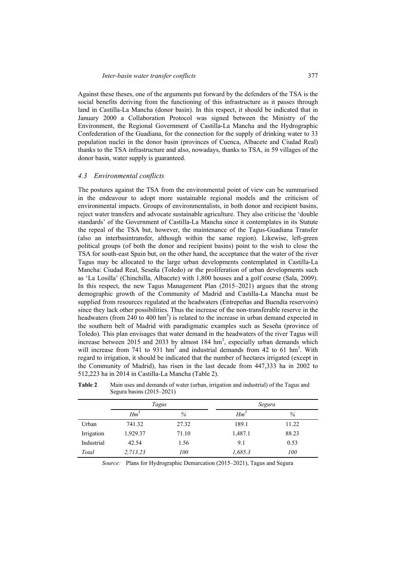Against these theses, one of the arguments put forward by the defenders of the TSA is the social benefits deriving from the functioning of this infrastructure as it passes through land in Castilla-La Mancha (donor basin). In this respect, it should be indicated that in January 2000 a Collaboration Protocol was signed between the Ministry of the Environment, the Regional Government of Castilla-La Mancha and the Hydrographic Confederation of the Guadiana, for the connection for the supply of drinking water to 33 population nuclei in the donor basin (provinces of Cuenca, Albacete and Ciudad Real) thanks to the TSA infrastructure and also, nowadays, thanks to TSA, in 59 villages of the donor basin, water supply is guaranteed.

#### *4.3 Environmental conflicts*

The postures against the TSA from the environmental point of view can be summarised in the endeavour to adopt more sustainable regional models and the criticism of environmental impacts. Groups of environmentalists, in both donor and recipient basins, reject water transfers and advocate sustainable agriculture. They also criticise the 'double standards' of the Government of Castilla-La Mancha since it contemplates in its Statute the repeal of the TSA but, however, the maintenance of the Tagus-Guadiana Transfer (also an interbasintransfer, although within the same region). Likewise, left-green political groups (of both the donor and recipient basins) point to the wish to close the TSA for south-east Spain but, on the other hand, the acceptance that the water of the river Tagus may be allocated to the large urban developments contemplated in Castilla-La Mancha: Ciudad Real, Seseña (Toledo) or the proliferation of urban developments such as 'La Losilla' (Chinchilla, Albacete) with 1,800 houses and a golf course (Sala, 2009). In this respect, the new Tagus Management Plan (2015–2021) argues that the strong demographic growth of the Community of Madrid and Castilla-La Mancha must be supplied from resources regulated at the headwaters (Entrepeñas and Buendía reservoirs) since they lack other possibilities. Thus the increase of the non-transferable reserve in the headwaters (from 240 to 400  $\text{hm}^3$ ) is related to the increase in urban demand expected in the southern belt of Madrid with paradigmatic examples such as Seseña (province of Toledo). This plan envisages that water demand in the headwaters of the river Tagus will increase between 2015 and 2033 by almost 184  $\text{hm}^3$ , especially urban demands which will increase from 741 to 931  $\text{hm}^3$  and industrial demands from 42 to 61  $\text{hm}^3$ . With regard to irrigation, it should be indicated that the number of hectares irrigated (except in the Community of Madrid), has risen in the last decade from 447,333 ha in 2002 to 512,223 ha in 2014 in Castilla-La Mancha (Table 2).

|            | Tagus           |       | Segura  |       |
|------------|-----------------|-------|---------|-------|
|            | Hm <sup>3</sup> | %     | $Hm^3$  | %     |
| Urban      | 741.32          | 27.32 | 189.1   | 11.22 |
| Irrigation | 1,929.37        | 71.10 | 1,487.1 | 88.23 |
| Industrial | 42.54           | 1.56  | 9.1     | 0.53  |
| Total      | 2,713.23        | 100   | 1,685.3 | 100   |

**Table 2** Main uses and demands of water (urban, irrigation and industrial) of the Tagus and Segura basins (2015–2021)

*Source:* Plans for Hydrographic Demarcation (2015–2021), Tagus and Segura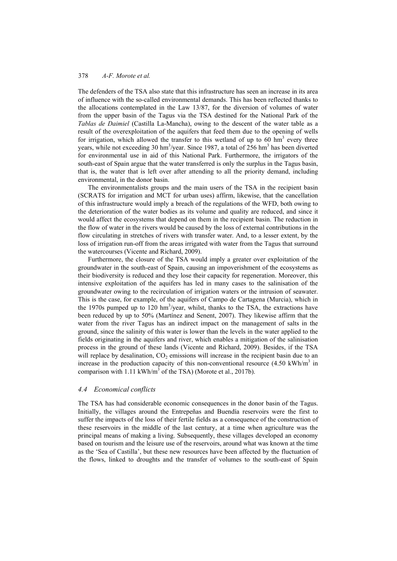The defenders of the TSA also state that this infrastructure has seen an increase in its area of influence with the so-called environmental demands. This has been reflected thanks to the allocations contemplated in the Law 13/87, for the diversion of volumes of water from the upper basin of the Tagus via the TSA destined for the National Park of the *Tablas de Daimiel* (Castilla La-Mancha), owing to the descent of the water table as a result of the overexploitation of the aquifers that feed them due to the opening of wells for irrigation, which allowed the transfer to this wetland of up to 60  $\text{hm}^3$  every three years, while not exceeding 30 hm<sup>3</sup>/year. Since 1987, a total of 256 hm<sup>3</sup> has been diverted for environmental use in aid of this National Park. Furthermore, the irrigators of the south-east of Spain argue that the water transferred is only the surplus in the Tagus basin, that is, the water that is left over after attending to all the priority demand, including environmental, in the donor basin.

The environmentalists groups and the main users of the TSA in the recipient basin (SCRATS for irrigation and MCT for urban uses) affirm, likewise, that the cancellation of this infrastructure would imply a breach of the regulations of the WFD, both owing to the deterioration of the water bodies as its volume and quality are reduced, and since it would affect the ecosystems that depend on them in the recipient basin. The reduction in the flow of water in the rivers would be caused by the loss of external contributions in the flow circulating in stretches of rivers with transfer water. And, to a lesser extent, by the loss of irrigation run-off from the areas irrigated with water from the Tagus that surround the watercourses (Vicente and Richard, 2009).

Furthermore, the closure of the TSA would imply a greater over exploitation of the groundwater in the south-east of Spain, causing an impoverishment of the ecosystems as their biodiversity is reduced and they lose their capacity for regeneration. Moreover, this intensive exploitation of the aquifers has led in many cases to the salinisation of the groundwater owing to the recirculation of irrigation waters or the intrusion of seawater. This is the case, for example, of the aquifers of Campo de Cartagena (Murcia), which in the 1970s pumped up to 120  $\text{hm}^3/\text{year}$ , whilst, thanks to the TSA, the extractions have been reduced by up to 50% (Martínez and Senent, 2007). They likewise affirm that the water from the river Tagus has an indirect impact on the management of salts in the ground, since the salinity of this water is lower than the levels in the water applied to the fields originating in the aquifers and river, which enables a mitigation of the salinisation process in the ground of these lands (Vicente and Richard, 2009). Besides, if the TSA will replace by desalination,  $CO<sub>2</sub>$  emissions will increase in the recipient basin due to an increase in the production capacity of this non-conventional resource  $(4.50 \text{ kWh/m}^3 \text{ in}$ comparison with  $1.11 \text{ kWh/m}^3$  of the TSA) (Morote et al., 2017b).

#### *4.4 Economical conflicts*

The TSA has had considerable economic consequences in the donor basin of the Tagus. Initially, the villages around the Entrepeñas and Buendía reservoirs were the first to suffer the impacts of the loss of their fertile fields as a consequence of the construction of these reservoirs in the middle of the last century, at a time when agriculture was the principal means of making a living. Subsequently, these villages developed an economy based on tourism and the leisure use of the reservoirs, around what was known at the time as the 'Sea of Castilla', but these new resources have been affected by the fluctuation of the flows, linked to droughts and the transfer of volumes to the south-east of Spain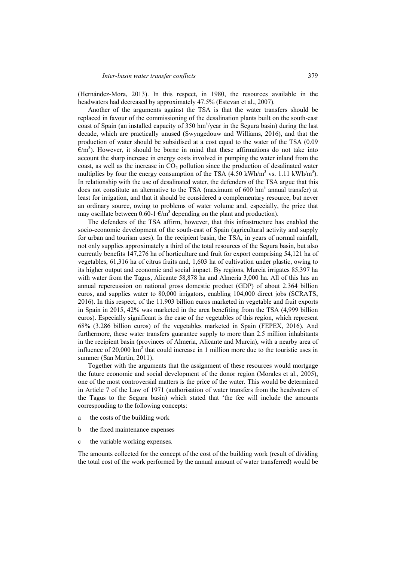(Hernández-Mora, 2013). In this respect, in 1980, the resources available in the headwaters had decreased by approximately 47.5% (Estevan et al., 2007).

Another of the arguments against the TSA is that the water transfers should be replaced in favour of the commissioning of the desalination plants built on the south-east coast of Spain (an installed capacity of  $350 \text{ hm}^3/\text{year}$  in the Segura basin) during the last decade, which are practically unused (Swyngedouw and Williams, 2016), and that the production of water should be subsidised at a cost equal to the water of the TSA (0.09  $\epsilon/m^3$ ). However, it should be borne in mind that these affirmations do not take into account the sharp increase in energy costs involved in pumping the water inland from the coast, as well as the increase in  $CO<sub>2</sub>$  pollution since the production of desalinated water multiplies by four the energy consumption of the TSA  $(4.50 \text{ kWh/m}^3 \text{ vs. } 1.11 \text{ kWh/m}^3)$ . In relationship with the use of desalinated water, the defenders of the TSA argue that this does not constitute an alternative to the TSA (maximum of 600 hm<sup>3</sup> annual transfer) at least for irrigation, and that it should be considered a complementary resource, but never an ordinary source, owing to problems of water volume and, especially, the price that may oscillate between 0.60-1  $\epsilon/m^3$  depending on the plant and production).

The defenders of the TSA affirm, however, that this infrastructure has enabled the socio-economic development of the south-east of Spain (agricultural activity and supply for urban and tourism uses). In the recipient basin, the TSA, in years of normal rainfall, not only supplies approximately a third of the total resources of the Segura basin, but also currently benefits 147,276 ha of horticulture and fruit for export comprising 54,121 ha of vegetables, 61,316 ha of citrus fruits and, 1,603 ha of cultivation under plastic, owing to its higher output and economic and social impact. By regions, Murcia irrigates 85,397 ha with water from the Tagus, Alicante 58,878 ha and Almeria 3,000 ha. All of this has an annual repercussion on national gross domestic product (GDP) of about 2.364 billion euros, and supplies water to 80,000 irrigators, enabling 104,000 direct jobs (SCRATS, 2016). In this respect, of the 11.903 billion euros marketed in vegetable and fruit exports in Spain in 2015, 42% was marketed in the area benefiting from the TSA (4,999 billion euros). Especially significant is the case of the vegetables of this region, which represent 68% (3.286 billion euros) of the vegetables marketed in Spain (FEPEX, 2016). And furthermore, these water transfers guarantee supply to more than 2.5 million inhabitants in the recipient basin (provinces of Almeria, Alicante and Murcia), with a nearby area of influence of 20,000  $km^2$  that could increase in 1 million more due to the touristic uses in summer (San Martin, 2011).

Together with the arguments that the assignment of these resources would mortgage the future economic and social development of the donor region (Morales et al., 2005), one of the most controversial matters is the price of the water. This would be determined in Article 7 of the Law of 1971 (authorisation of water transfers from the headwaters of the Tagus to the Segura basin) which stated that 'the fee will include the amounts corresponding to the following concepts:

- a the costs of the building work
- b the fixed maintenance expenses
- c the variable working expenses.

The amounts collected for the concept of the cost of the building work (result of dividing the total cost of the work performed by the annual amount of water transferred) would be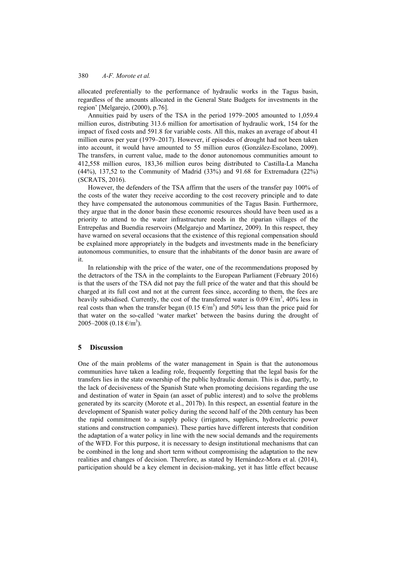allocated preferentially to the performance of hydraulic works in the Tagus basin, regardless of the amounts allocated in the General State Budgets for investments in the region' [Melgarejo, (2000), p.76].

Annuities paid by users of the TSA in the period 1979–2005 amounted to 1,059.4 million euros, distributing 313.6 million for amortisation of hydraulic work, 154 for the impact of fixed costs and 591.8 for variable costs. All this, makes an average of about 41 million euros per year (1979–2017). However, if episodes of drought had not been taken into account, it would have amounted to 55 million euros (González-Escolano, 2009). The transfers, in current value, made to the donor autonomous communities amount to 412,558 million euros, 183,36 million euros being distributed to Castilla-La Mancha (44%), 137,52 to the Community of Madrid (33%) and 91.68 for Extremadura (22%) (SCRATS, 2016).

However, the defenders of the TSA affirm that the users of the transfer pay 100% of the costs of the water they receive according to the cost recovery principle and to date they have compensated the autonomous communities of the Tagus Basin. Furthermore, they argue that in the donor basin these economic resources should have been used as a priority to attend to the water infrastructure needs in the riparian villages of the Entrepeñas and Buendía reservoirs (Melgarejo and Martínez, 2009). In this respect, they have warned on several occasions that the existence of this regional compensation should be explained more appropriately in the budgets and investments made in the beneficiary autonomous communities, to ensure that the inhabitants of the donor basin are aware of it.

In relationship with the price of the water, one of the recommendations proposed by the detractors of the TSA in the complaints to the European Parliament (February 2016) is that the users of the TSA did not pay the full price of the water and that this should be charged at its full cost and not at the current fees since, according to them, the fees are heavily subsidised. Currently, the cost of the transferred water is  $0.09 \text{ } \epsilon/\text{m}^3$ , 40% less in real costs than when the transfer began (0.15  $\epsilon/m^3$ ) and 50% less than the price paid for that water on the so-called 'water market' between the basins during the drought of  $2005 - 2008$  (0.18  $\epsilon/m^3$ ).

### **5 Discussion**

One of the main problems of the water management in Spain is that the autonomous communities have taken a leading role, frequently forgetting that the legal basis for the transfers lies in the state ownership of the public hydraulic domain. This is due, partly, to the lack of decisiveness of the Spanish State when promoting decisions regarding the use and destination of water in Spain (an asset of public interest) and to solve the problems generated by its scarcity (Morote et al., 2017b). In this respect, an essential feature in the development of Spanish water policy during the second half of the 20th century has been the rapid commitment to a supply policy (irrigators, suppliers, hydroelectric power stations and construction companies). These parties have different interests that condition the adaptation of a water policy in line with the new social demands and the requirements of the WFD. For this purpose, it is necessary to design institutional mechanisms that can be combined in the long and short term without compromising the adaptation to the new realities and changes of decision. Therefore, as stated by Hernández-Mora et al. (2014), participation should be a key element in decision-making, yet it has little effect because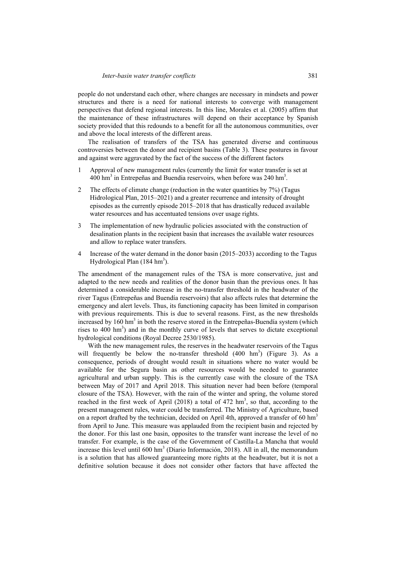people do not understand each other, where changes are necessary in mindsets and power structures and there is a need for national interests to converge with management perspectives that defend regional interests. In this line, Morales et al. (2005) affirm that the maintenance of these infrastructures will depend on their acceptance by Spanish society provided that this redounds to a benefit for all the autonomous communities, over and above the local interests of the different areas.

The realisation of transfers of the TSA has generated diverse and continuous controversies between the donor and recipient basins (Table 3). These postures in favour and against were aggravated by the fact of the success of the different factors

- 1 Approval of new management rules (currently the limit for water transfer is set at 400  $\text{hm}^3$  in Entrepeñas and Buendia reservoirs, when before was 240  $\text{hm}^3$ .
- 2 The effects of climate change (reduction in the water quantities by 7%) (Tagus Hidrological Plan, 2015–2021) and a greater recurrence and intensity of drought episodes as the currently episode 2015–2018 that has drastically reduced available water resources and has accentuated tensions over usage rights.
- 3 The implementation of new hydraulic policies associated with the construction of desalination plants in the recipient basin that increases the available water resources and allow to replace water transfers.
- 4 Increase of the water demand in the donor basin (2015–2033) according to the Tagus Hydrological Plan  $(184 \text{ hm}^3)$ .

The amendment of the management rules of the TSA is more conservative, just and adapted to the new needs and realities of the donor basin than the previous ones. It has determined a considerable increase in the no-transfer threshold in the headwater of the river Tagus (Entrepeñas and Buendía reservoirs) that also affects rules that determine the emergency and alert levels. Thus, its functioning capacity has been limited in comparison with previous requirements. This is due to several reasons. First, as the new thresholds increased by  $160 \text{ hm}^3$  in both the reserve stored in the Entrepeñas-Buendía system (which rises to  $400 \text{ hm}^3$ ) and in the monthly curve of levels that serves to dictate exceptional hydrological conditions (Royal Decree 2530/1985).

With the new management rules, the reserves in the headwater reservoirs of the Tagus will frequently be below the no-transfer threshold  $(400 \text{ hm}^3)$  (Figure 3). As a consequence, periods of drought would result in situations where no water would be available for the Segura basin as other resources would be needed to guarantee agricultural and urban supply. This is the currently case with the closure of the TSA between May of 2017 and April 2018. This situation never had been before (temporal closure of the TSA). However, with the rain of the winter and spring, the volume stored reached in the first week of April (2018) a total of 472  $\text{hm}^3$ , so that, according to the present management rules, water could be transferred. The Ministry of Agriculture, based on a report drafted by the technician, decided on April 4th, approved a transfer of 60 hm<sup>3</sup> from April to June. This measure was applauded from the recipient basin and rejected by the donor. For this last one basin, opposites to the transfer want increase the level of no transfer. For example, is the case of the Government of Castilla-La Mancha that would increase this level until  $600 \text{ hm}^3$  (Diario Información, 2018). All in all, the memorandum is a solution that has allowed guaranteeing more rights at the headwater, but it is not a definitive solution because it does not consider other factors that have affected the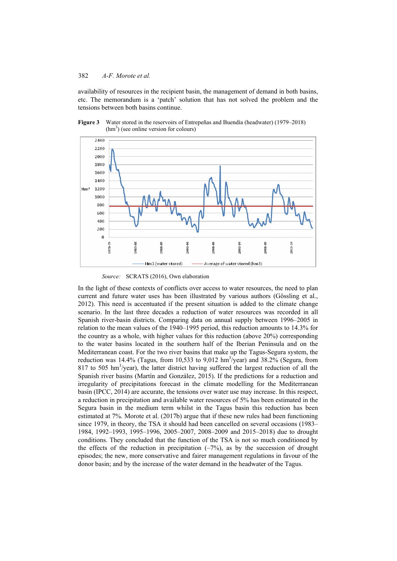availability of resources in the recipient basin, the management of demand in both basins, etc. The memorandum is a 'patch' solution that has not solved the problem and the tensions between both basins continue.







In the light of these contexts of conflicts over access to water resources, the need to plan current and future water uses has been illustrated by various authors (Gössling et al., 2012). This need is accentuated if the present situation is added to the climate change scenario. In the last three decades a reduction of water resources was recorded in all Spanish river-basin districts. Comparing data on annual supply between 1996–2005 in relation to the mean values of the 1940–1995 period, this reduction amounts to 14.3% for the country as a whole, with higher values for this reduction (above 20%) corresponding to the water basins located in the southern half of the Iberian Peninsula and on the Mediterranean coast. For the two river basins that make up the Tagus-Segura system, the reduction was  $14.4\%$  (Tagus, from 10,533 to 9,012 hm<sup>3</sup>/year) and 38.2% (Segura, from  $817$  to 505 hm<sup>3</sup>/year), the latter district having suffered the largest reduction of all the Spanish river basins (Martín and González, 2015). If the predictions for a reduction and irregularity of precipitations forecast in the climate modelling for the Mediterranean basin (IPCC, 2014) are accurate, the tensions over water use may increase. In this respect, a reduction in precipitation and available water resources of 5% has been estimated in the Segura basin in the medium term whilst in the Tagus basin this reduction has been estimated at 7%. Morote et al. (2017b) argue that if these new rules had been functioning since 1979, in theory, the TSA it should had been cancelled on several occasions (1983– 1984, 1992–1993, 1995–1996, 2005–2007, 2008–2009 and 2015–2018) due to drought conditions. They concluded that the function of the TSA is not so much conditioned by the effects of the reduction in precipitation  $(-7%)$ , as by the succession of drought episodes; the new, more conservative and fairer management regulations in favour of the donor basin; and by the increase of the water demand in the headwater of the Tagus.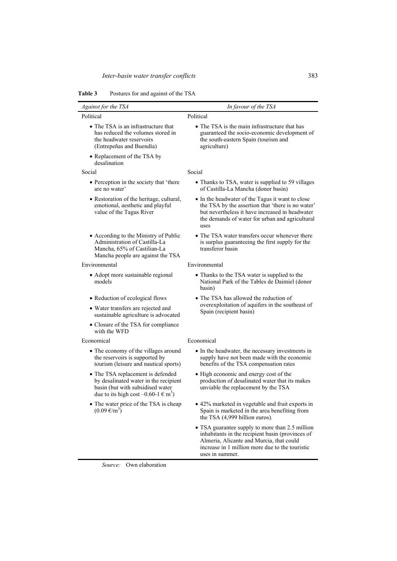| Against for the TSA                                                                                                                                                   | In favour of the TSA                                                                                                                                                                                                  |  |  |
|-----------------------------------------------------------------------------------------------------------------------------------------------------------------------|-----------------------------------------------------------------------------------------------------------------------------------------------------------------------------------------------------------------------|--|--|
| Political                                                                                                                                                             | Political                                                                                                                                                                                                             |  |  |
| • The TSA is an infrastructure that<br>has reduced the volumes stored in<br>the headwater reservoirs<br>(Entrepeñas and Buendía)                                      | • The TSA is the main infrastructure that has<br>guaranteed the socio-economic development of<br>the south-eastern Spain (tourism and<br>agriculture)                                                                 |  |  |
| • Replacement of the TSA by<br>desalination                                                                                                                           |                                                                                                                                                                                                                       |  |  |
| Social                                                                                                                                                                | Social                                                                                                                                                                                                                |  |  |
| • Perception in the society that 'there<br>are no water'                                                                                                              | • Thanks to TSA, water is supplied to 59 villages<br>of Castilla-La Mancha (donor basin)                                                                                                                              |  |  |
| • Restoration of the heritage, cultural,<br>emotional, aesthetic and playful<br>value of the Tagus River                                                              | • In the headwater of the Tagus it want to close<br>the TSA by the assertion that 'there is no water'<br>but nevertheless it have increased in headwater<br>the demands of water for urban and agricultural<br>uses   |  |  |
| • According to the Ministry of Public<br>Administration of Castilla-La<br>Mancha, 65% of Castilian-La<br>Mancha people are against the TSA                            | • The TSA water transfers occur whenever there<br>is surplus guaranteeing the first supply for the<br>transferor basin                                                                                                |  |  |
| Environmental                                                                                                                                                         | Environmental                                                                                                                                                                                                         |  |  |
| • Adopt more sustainable regional<br>models                                                                                                                           | • Thanks to the TSA water is supplied to the<br>National Park of the Tables de Daimiel (donor<br>basin)                                                                                                               |  |  |
| • Reduction of ecological flows                                                                                                                                       | • The TSA has allowed the reduction of                                                                                                                                                                                |  |  |
| • Water transfers are rejected and<br>sustainable agriculture is advocated                                                                                            | overexploitation of aquifers in the southeast of<br>Spain (recipient basin)                                                                                                                                           |  |  |
| • Closure of the TSA for compliance<br>with the WFD                                                                                                                   |                                                                                                                                                                                                                       |  |  |
| Economical                                                                                                                                                            | Economical                                                                                                                                                                                                            |  |  |
| • The economy of the villages around<br>the reservoirs is supported by<br>tourism (leisure and nautical sports)                                                       | • In the headwater, the necessary investments in<br>supply have not been made with the economic<br>benefits of the TSA compensation rates                                                                             |  |  |
| • The TSA replacement is defended<br>by desalinated water in the recipient<br>basin (but with subsidised water<br>due to its high cost -0.60-1 $\in$ m <sup>3</sup> ) | • High economic and energy cost of the<br>production of desalinated water that its makes<br>unviable the replacement by the TSA                                                                                       |  |  |
| • The water price of the TSA is cheap<br>$(0.09 \text{ E/m}^3)$                                                                                                       | • 42% marketed in vegetable and fruit exports in<br>Spain is marketed in the area benefiting from<br>the TSA (4,999 billion euros).                                                                                   |  |  |
|                                                                                                                                                                       | • TSA guarantee supply to more than 2.5 million<br>inhabitants in the recipient basin (provinces of<br>Almeria, Alicante and Murcia, that could<br>increase in 1 million more due to the touristic<br>uses in summer. |  |  |

### **Table 3** Postures for and against of the TSA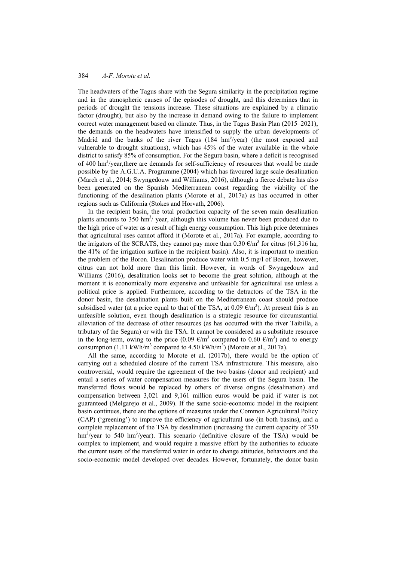The headwaters of the Tagus share with the Segura similarity in the precipitation regime and in the atmospheric causes of the episodes of drought, and this determines that in periods of drought the tensions increase. These situations are explained by a climatic factor (drought), but also by the increase in demand owing to the failure to implement correct water management based on climate. Thus, in the Tagus Basin Plan (2015–2021), the demands on the headwaters have intensified to supply the urban developments of Madrid and the banks of the river Tagus  $(184 \text{ hm}^3/\text{year})$  (the most exposed and vulnerable to drought situations), which has 45% of the water available in the whole district to satisfy 85% of consumption. For the Segura basin, where a deficit is recognised of 400 hm<sup>3</sup>/year, there are demands for self-sufficiency of resources that would be made possible by the A.G.U.A. Programme (2004) which has favoured large scale desalination (March et al., 2014; Swyngedouw and Williams, 2016), although a fierce debate has also been generated on the Spanish Mediterranean coast regarding the viability of the functioning of the desalination plants (Morote et al., 2017a) as has occurred in other regions such as California (Stokes and Horvath, 2006).

In the recipient basin, the total production capacity of the seven main desalination plants amounts to  $350 \text{ hm}^3$ / year, although this volume has never been produced due to the high price of water as a result of high energy consumption. This high price determines that agricultural uses cannot afford it (Morote et al., 2017a). For example, according to the irrigators of the SCRATS, they cannot pay more than  $0.30 \text{ }\epsilon/\text{m}^3$  for citrus (61,316 ha; the 41% of the irrigation surface in the recipient basin). Also, it is important to mention the problem of the Boron. Desalination produce water with 0.5 mg/l of Boron, however, citrus can not hold more than this limit. However, in words of Swyngedouw and Williams (2016), desalination looks set to become the great solution, although at the moment it is economically more expensive and unfeasible for agricultural use unless a political price is applied. Furthermore, according to the detractors of the TSA in the donor basin, the desalination plants built on the Mediterranean coast should produce subsidised water (at a price equal to that of the TSA, at 0.09  $\epsilon/m^3$ ). At present this is an unfeasible solution, even though desalination is a strategic resource for circumstantial alleviation of the decrease of other resources (as has occurred with the river Taibilla, a tributary of the Segura) or with the TSA. It cannot be considered as a substitute resource in the long-term, owing to the price  $(0.09 \text{ }\epsilon/\text{m}^3)$  compared to  $(0.60 \text{ }\epsilon/\text{m}^3)$  and to energy consumption (1.11 kWh/m<sup>3</sup> compared to 4.50 kWh/m<sup>3</sup>) (Morote et al., 2017a).

All the same, according to Morote et al. (2017b), there would be the option of carrying out a scheduled closure of the current TSA infrastructure. This measure, also controversial, would require the agreement of the two basins (donor and recipient) and entail a series of water compensation measures for the users of the Segura basin. The transferred flows would be replaced by others of diverse origins (desalination) and compensation between 3,021 and 9,161 million euros would be paid if water is not guaranteed (Melgarejo et al., 2009). If the same socio-economic model in the recipient basin continues, there are the options of measures under the Common Agricultural Policy (CAP) ('greening') to improve the efficiency of agricultural use (in both basins), and a complete replacement of the TSA by desalination (increasing the current capacity of 350  $hm<sup>3</sup>/year$  to 540  $hm<sup>3</sup>/year$ ). This scenario (definitive closure of the TSA) would be complex to implement, and would require a massive effort by the authorities to educate the current users of the transferred water in order to change attitudes, behaviours and the socio-economic model developed over decades. However, fortunately, the donor basin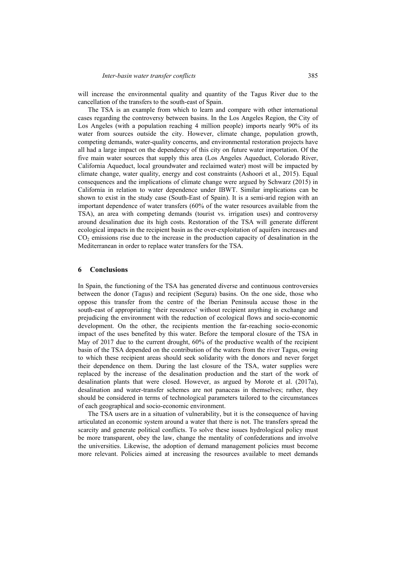will increase the environmental quality and quantity of the Tagus River due to the cancellation of the transfers to the south-east of Spain.

The TSA is an example from which to learn and compare with other international cases regarding the controversy between basins. In the Los Angeles Region, the City of Los Angeles (with a population reaching 4 million people) imports nearly 90% of its water from sources outside the city. However, climate change, population growth, competing demands, water-quality concerns, and environmental restoration projects have all had a large impact on the dependency of this city on future water importation. Of the five main water sources that supply this area (Los Angeles Aqueduct, Colorado River, California Aqueduct, local groundwater and reclaimed water) most will be impacted by climate change, water quality, energy and cost constraints (Ashoori et al., 2015). Equal consequences and the implications of climate change were argued by Schwarz (2015) in California in relation to water dependence under IBWT. Similar implications can be shown to exist in the study case (South-East of Spain). It is a semi-arid region with an important dependence of water transfers (60% of the water resources available from the TSA), an area with competing demands (tourist vs. irrigation uses) and controversy around desalination due its high costs. Restoration of the TSA will generate different ecological impacts in the recipient basin as the over-exploitation of aquifers increases and  $CO<sub>2</sub>$  emissions rise due to the increase in the production capacity of desalination in the Mediterranean in order to replace water transfers for the TSA.

#### **6 Conclusions**

In Spain, the functioning of the TSA has generated diverse and continuous controversies between the donor (Tagus) and recipient (Segura) basins. On the one side, those who oppose this transfer from the centre of the Iberian Peninsula accuse those in the south-east of appropriating 'their resources' without recipient anything in exchange and prejudicing the environment with the reduction of ecological flows and socio-economic development. On the other, the recipients mention the far-reaching socio-economic impact of the uses benefited by this water. Before the temporal closure of the TSA in May of 2017 due to the current drought, 60% of the productive wealth of the recipient basin of the TSA depended on the contribution of the waters from the river Tagus, owing to which these recipient areas should seek solidarity with the donors and never forget their dependence on them. During the last closure of the TSA, water supplies were replaced by the increase of the desalination production and the start of the work of desalination plants that were closed. However, as argued by Morote et al. (2017a), desalination and water-transfer schemes are not panaceas in themselves; rather, they should be considered in terms of technological parameters tailored to the circumstances of each geographical and socio-economic environment.

The TSA users are in a situation of vulnerability, but it is the consequence of having articulated an economic system around a water that there is not. The transfers spread the scarcity and generate political conflicts. To solve these issues hydrological policy must be more transparent, obey the law, change the mentality of confederations and involve the universities. Likewise, the adoption of demand management policies must become more relevant. Policies aimed at increasing the resources available to meet demands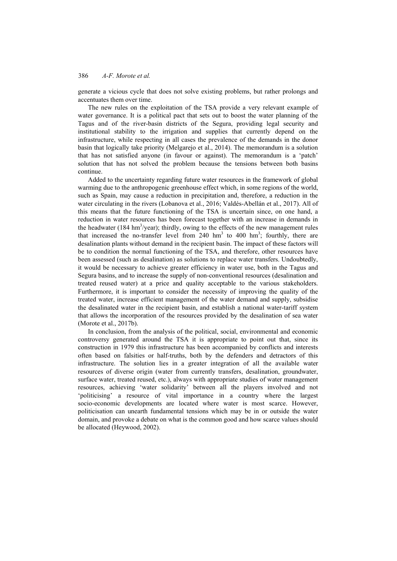generate a vicious cycle that does not solve existing problems, but rather prolongs and accentuates them over time.

The new rules on the exploitation of the TSA provide a very relevant example of water governance. It is a political pact that sets out to boost the water planning of the Tagus and of the river-basin districts of the Segura, providing legal security and institutional stability to the irrigation and supplies that currently depend on the infrastructure, while respecting in all cases the prevalence of the demands in the donor basin that logically take priority (Melgarejo et al., 2014). The memorandum is a solution that has not satisfied anyone (in favour or against). The memorandum is a 'patch' solution that has not solved the problem because the tensions between both basins continue.

Added to the uncertainty regarding future water resources in the framework of global warming due to the anthropogenic greenhouse effect which, in some regions of the world, such as Spain, may cause a reduction in precipitation and, therefore, a reduction in the water circulating in the rivers (Lobanova et al., 2016; Valdés-Abellán et al., 2017). All of this means that the future functioning of the TSA is uncertain since, on one hand, a reduction in water resources has been forecast together with an increase in demands in the headwater (184 hm<sup>3</sup>/year); thirdly, owing to the effects of the new management rules that increased the no-transfer level from 240  $\text{hm}^3$  to 400  $\text{hm}^3$ ; fourthly, there are desalination plants without demand in the recipient basin. The impact of these factors will be to condition the normal functioning of the TSA, and therefore, other resources have been assessed (such as desalination) as solutions to replace water transfers. Undoubtedly, it would be necessary to achieve greater efficiency in water use, both in the Tagus and Segura basins, and to increase the supply of non-conventional resources (desalination and treated reused water) at a price and quality acceptable to the various stakeholders. Furthermore, it is important to consider the necessity of improving the quality of the treated water, increase efficient management of the water demand and supply, subsidise the desalinated water in the recipient basin, and establish a national water-tariff system that allows the incorporation of the resources provided by the desalination of sea water (Morote et al., 2017b).

In conclusion, from the analysis of the political, social, environmental and economic controversy generated around the TSA it is appropriate to point out that, since its construction in 1979 this infrastructure has been accompanied by conflicts and interests often based on falsities or half-truths, both by the defenders and detractors of this infrastructure. The solution lies in a greater integration of all the available water resources of diverse origin (water from currently transfers, desalination, groundwater, surface water, treated reused, etc.), always with appropriate studies of water management resources, achieving 'water solidarity' between all the players involved and not 'politicising' a resource of vital importance in a country where the largest socio-economic developments are located where water is most scarce. However, politicisation can unearth fundamental tensions which may be in or outside the water domain, and provoke a debate on what is the common good and how scarce values should be allocated (Heywood, 2002).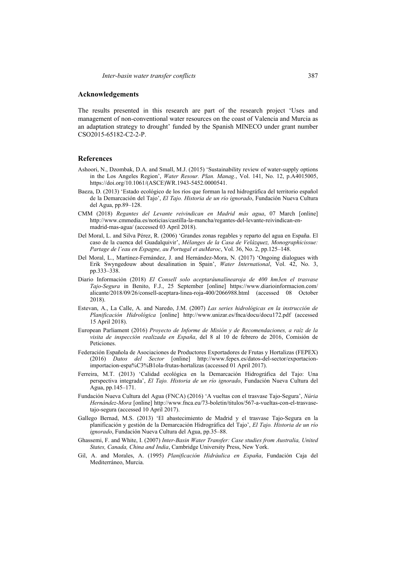#### **Acknowledgements**

The results presented in this research are part of the research project 'Uses and management of non-conventional water resources on the coast of Valencia and Murcia as an adaptation strategy to drought' funded by the Spanish MINECO under grant number CSO2015-65182-C2-2-P.

### **References**

- Ashoori, N., Dzombak, D.A. and Small, M.J. (2015) 'Sustainability review of water-supply options in the Los Angeles Region', *Water Resour. Plan. Manag.*, Vol. 141, No. 12, p.A4015005, https://doi.org/10.1061/(ASCE)WR.1943-5452.0000541.
- Baeza, D. (2013) 'Estado ecológico de los ríos que forman la red hidrográfica del territorio español de la Demarcación del Tajo', *El Tajo. Historia de un río ignorado*, Fundación Nueva Cultura del Agua, pp.89–128.
- CMM (2018) *Regantes del Levante reivindican en Madrid más agua*, 07 March [online] http://www.cmmedia.es/noticias/castilla-la-mancha/regantes-del-levante-reivindican-enmadrid-mas-agua/ (accessed 03 April 2018).
- Del Moral, L. and Silva Pérez, R. (2006) 'Grandes zonas regables y reparto del agua en España. El caso de la cuenca del Guadalquivir', *Mélanges de la Casa de Velázquez, Monographicissue: Partage de l'eau en Espagne, au Portugal et auMaroc*, Vol. 36, No. 2, pp.125–148.
- Del Moral, L., Martínez-Fernández, J. and Hernández-Mora, N. (2017) 'Ongoing dialogues with Erik Swyngedouw about desalination in Spain', *Water International*, Vol. 42, No. 3, pp.333–338.
- Diario Información (2018) *El Consell solo aceptaráunalínearoja de 400 hm3en el trasvase Tajo-Segura* in Benito, F.J., 25 September [online] https://www.diarioinformacion.com/ alicante/2018/09/26/consell-aceptara-linea-roja-400/2066988.html (accessed 08 October 2018).
- Estevan, A., La Calle, A. and Naredo, J.M. (2007) *Las series hidrológicas en la instrucción de Planificación Hidrológica* [online] http://www.unizar.es/fnca/docu/docu172.pdf (accessed 15 April 2018).
- European Parliament (2016) *Proyecto de Informe de Misión y de Recomendaciones, a raíz de la visita de inspección realizada en España*, del 8 al 10 de febrero de 2016, Comisión de Peticiones.
- Federación Española de Asociaciones de Productores Exportadores de Frutas y Hortalizas (FEPEX) (2016) *Datos del Sector* [online] http://www.fepex.es/datos-del-sector/exportacionimportacion-espa%C3%B1ola-frutas-hortalizas (accessed 01 April 2017).
- Ferreira, M.T. (2013) 'Calidad ecológica en la Demarcación Hidrográfica del Tajo: Una perspectiva integrada', *El Tajo. Historia de un río ignorado*, Fundación Nueva Cultura del Agua, pp.145–171.
- Fundación Nueva Cultura del Agua (FNCA) (2016) 'A vueltas con el trasvase Tajo-Segura', *Núria Hernández-Mora* [online] http://www.fnca.eu/73-boletin/titulos/567-a-vueltas-con-el-trasvasetajo-segura (accessed 10 April 2017).
- Gallego Bernad, M.S. (2013) 'El abastecimiento de Madrid y el trasvase Tajo-Segura en la planificación y gestión de la Demarcación Hidrográfica del Tajo', *El Tajo. Historia de un río ignorado*, Fundación Nueva Cultura del Agua, pp.35–88.
- Ghassemi, F. and White, I. (2007) *Inter-Basin Water Transfer: Case studies from Australia, United States, Canada, China and India*, Cambridge University Press, New York.
- Gil, A. and Morales, A. (1995) *Planificación Hidráulica en España*, Fundación Caja del Mediterráneo, Murcia.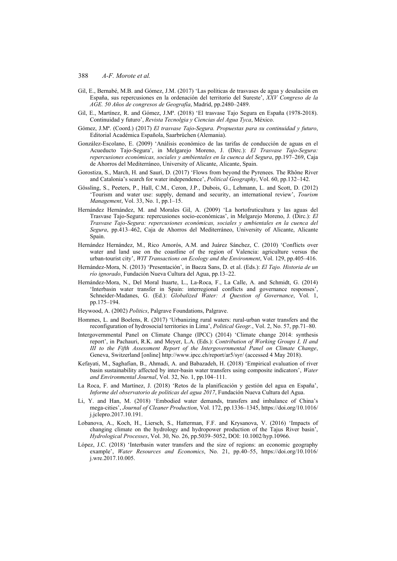- Gil, E., Bernabé, M.B. and Gómez, J.M. (2017) 'Las políticas de trasvases de agua y desalación en España, sus repercusiones en la ordenación del territorio del Sureste', *XXV Congreso de la AGE. 50 Años de congresos de Geografía*, Madrid, pp.2480–2489.
- Gil, E., Martínez, R. and Gómez, J.Mª. (2018) 'El trasvase Tajo Segura en España (1978-2018). Continuidad y futuro', *Revista Tecnolgia y Ciencias del Agua Tyca*, México.
- Gómez, J.Mª. (Coord.) (2017) *El trasvase Tajo-Segura. Propuestas para su continuidad y futuro*, Editorial Académica Española, Saarbrüchen (Alemania).
- González-Escolano, E. (2009) 'Análisis económico de las tarifas de conducción de aguas en el Acueducto Tajo-Segura', in Melgarejo Moreno, J. (Dirc.): *El Trasvase Tajo-Segura: repercusiones económicas, sociales y ambientales en la cuenca del Segura*, pp.197–269, Caja de Ahorros del Mediterráneo, University of Alicante, Alicante, Spain.
- Gorostiza, S., March, H. and Saurí, D. (2017) 'Flows from beyond the Pyrenees. The Rhône River and Catalonia's search for water independence', *Political Geography*, Vol. 60, pp.132–142.
- Gössling, S., Peeters, P., Hall, C.M., Ceron, J.P., Dubois, G., Lehmann, L. and Scott, D. (2012) 'Tourism and water use: supply, demand and security, an international review', *Tourism Management*, Vol. 33, No. 1, pp.1–15.
- Hernández Hernández, M. and Morales Gil, A. (2009) 'La hortofruticultura y las aguas del Trasvase Tajo-Segura: repercusiones socio-económicas', in Melgarejo Moreno, J. (Dirc.): *El Trasvase Tajo-Segura: repercusiones económicas, sociales y ambientales en la cuenca del Segura*, pp.413–462, Caja de Ahorros del Mediterráneo, University of Alicante, Alicante Spain.
- Hernández Hernández, M., Rico Amorós, A.M. and Juárez Sánchez, C. (2010) 'Conflicts over water and land use on the coastline of the region of Valencia: agriculture versus the urban-tourist city', *WIT Transactions on Ecology and the Environment*, Vol. 129, pp.405–416.
- Hernández-Mora, N. (2013) 'Presentación', in Baeza Sans, D. et al. (Eds.): *El Tajo. Historia de un río ignorado*, Fundación Nueva Cultura del Agua, pp.13–22.
- Hernández-Mora, N., Del Moral Ituarte, L., La-Roca, F., La Calle, A. and Schmidt, G. (2014) 'Interbasin water transfer in Spain: interregional conflicts and governance responses', Schneider-Madanes, G. (Ed.): *Globalized Water: A Question of Governance*, Vol. 1, pp.175–194.
- Heywood, A. (2002) *Politics*, Palgrave Foundations, Palgrave.
- Hommes, L. and Boelens, R. (2017) 'Urbanizing rural waters: rural-urban water transfers and the reconfiguration of hydrosocial territories in Lima', *Political Geogr.*, Vol. 2, No. 57, pp.71–80.
- Intergovernmental Panel on Climate Change (IPCC) (2014) 'Climate change 2014: synthesis report', in Pachauri, R.K. and Meyer, L.A. (Eds.): *Contribution of Working Groups I, II and III to the Fifth Assessment Report of the Intergovernmental Panel on Climate Change*, Geneva, Switzerland [online] http://www.ipcc.ch/report/ar5/syr/ (accessed 4 May 2018).
- Kefayati, M., Saghafian, B., Ahmadi, A. and Babazadeh, H. (2018) 'Empirical evaluation of river basin sustainability affected by inter-basin water transfers using composite indicators', *Water and Environmental Journal*, Vol. 32, No. 1, pp.104–111.
- La Roca, F. and Martínez, J. (2018) 'Retos de la planificación y gestión del agua en España', *Informe del observatorio de políticas del agua 2017*, Fundación Nueva Cultura del Agua.
- Li, Y. and Han, M. (2018) 'Embodied water demands, transfers and imbalance of China's mega-cities', *Journal of Cleaner Production*, Vol. 172, pp.1336–1345, https://doi.org/10.1016/ j.jclepro.2017.10.191.
- Lobanova, A., Koch, H., Liersch, S., Hatterman, F.F. and Krysanova, V. (2016) 'Impacts of changing climate on the hydrology and hydropower production of the Tajus River basin', *Hydrological Processes*, Vol. 30, No. 26, pp.5039–5052, DOI: 10.1002/hyp.10966.
- López, J.C. (2018) 'Interbasin water transfers and the size of regions: an economic geography example', *Water Resources and Economics*, No. 21, pp.40–55, https://doi.org/10.1016/ j.wre.2017.10.005.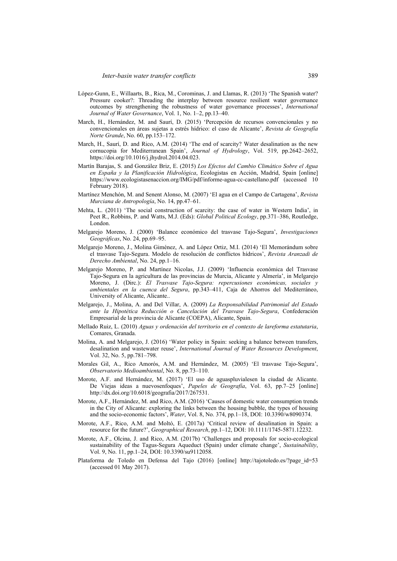- López-Gunn, E., Willaarts, B., Rica, M., Corominas, J. and Llamas, R. (2013) 'The Spanish water? Pressure cooker?: Threading the interplay between resource resilient water governance outcomes by strengthening the robustness of water governance processes', *International Journal of Water Governance*, Vol. 1, No. 1–2, pp.13–40.
- March, H., Hernández, M. and Saurí, D. (2015) 'Percepción de recursos convencionales y no convencionales en áreas sujetas a estrés hídrico: el caso de Alicante', *Revista de Geografía Norte Grande*, No. 60, pp.153–172.
- March, H., Saurí, D. and Rico, A.M. (2014) 'The end of scarcity? Water desalination as the new cornucopia for Mediterranean Spain', *Journal of Hydrology*, Vol. 519, pp.2642–2652, https://doi.org/10.1016/j.jhydrol.2014.04.023.
- Martín Barajas, S. and González Briz, E. (2015) *Los Efectos del Cambio Climático Sobre el Agua en España y la Planificación Hidrológica*, Ecologistas en Acción, Madrid, Spain [online] https://www.ecologistasenaccion.org/IMG/pdf/informe-agua-cc-castellano.pdf (accessed 10 February 2018).
- Martínez Menchón, M. and Senent Alonso, M. (2007) 'El agua en el Campo de Cartagena', *Revista Murciana de Antropología*, No. 14, pp.47–61.
- Mehta, L. (2011) 'The social construction of scarcity: the case of water in Western India', in Peet R., Robbins, P. and Watts, M.J. (Eds): *Global Political Ecology*, pp.371–386, Routledge, London.
- Melgarejo Moreno, J. (2000) 'Balance económico del trasvase Tajo-Segura', *Investigaciones Geográficas*, No. 24, pp.69–95.
- Melgarejo Moreno, J., Molina Giménez, A. and López Ortiz, M.I. (2014) 'El Memorándum sobre el trasvase Tajo-Segura. Modelo de resolución de conflictos hídricos', *Revista Aranzadi de Derecho Ambiental*, No. 24, pp.1–16.
- Melgarejo Moreno, P. and Martínez Nicolas, J.J. (2009) 'Influencia económica del Trasvase Tajo-Segura en la agricultura de las provincias de Murcia, Alicante y Almería', in Melgarejo Moreno, J. (Dirc.): *El Trasvase Tajo-Segura: repercusiones económicas, sociales y ambientales en la cuenca del Segura*, pp.343–411, Caja de Ahorros del Mediterráneo, University of Alicante, Alicante..
- Melgarejo, J., Molina, A. and Del Villar, A. (2009) *La Responsabilidad Patrimonial del Estado ante la Hipotética Reducción o Cancelación del Trasvase Tajo-Segura*, Confederación Empresarial de la provincia de Alicante (COEPA), Alicante, Spain.
- Mellado Ruiz, L. (2010) *Aguas y ordenación del territorio en el contexto de lareforma estatutaria*, Comares, Granada.
- Molina, A. and Melgarejo, J. (2016) 'Water policy in Spain: seeking a balance between transfers, desalination and wastewater reuse', *International Journal of Water Resources Development*, Vol. 32, No. 5, pp.781–798.
- Morales Gil, A., Rico Amorós, A.M. and Hernández, M. (2005) 'El trasvase Tajo-Segura', *Observatorio Medioambiental*, No. 8, pp.73–110.
- Morote, A.F. and Hernández, M. (2017) 'El uso de aguaspluvialesen la ciudad de Alicante. De Viejas ideas a nuevosenfoques', *Papeles de Geografía*, Vol. 63, pp.7–25 [online] http://dx.doi.org/10.6018/geografia/2017/267531.
- Morote, A.F., Hernández, M. and Rico, A.M. (2016) 'Causes of domestic water consumption trends in the City of Alicante: exploring the links between the housing bubble, the types of housing and the socio-economic factors', *Water*, Vol. 8, No. 374, pp.1–18, DOI: 10.3390/w8090374.
- Morote, A.F., Rico, A.M. and Moltó, E. (2017a) 'Critical review of desalination in Spain: a resource for the future?', *Geographical Research*, pp.1–12, DOI: 10.1111/1745-5871.12232.
- Morote, A.F., Olcina, J. and Rico, A.M. (2017b) 'Challenges and proposals for socio-ecological sustainability of the Tagus-Segura Aqueduct (Spain) under climate change', *Sustainability*, Vol. 9, No. 11, pp.1–24, DOI: 10.3390/su9112058.
- Plataforma de Toledo en Defensa del Tajo (2016) [online] http://tajotoledo.es/?page\_id=53 (accessed 01 May 2017).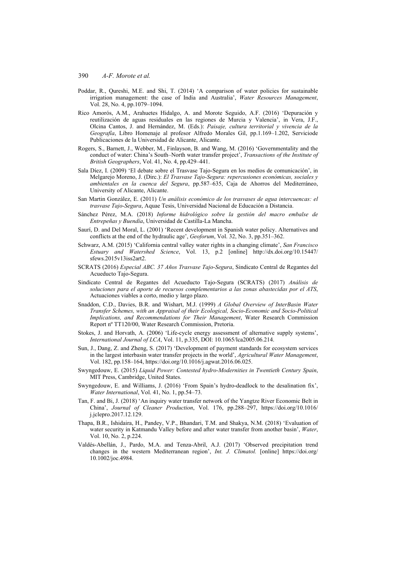- Poddar, R., Qureshi, M.E. and Shi, T. (2014) 'A comparison of water policies for sustainable irrigation management: the case of India and Australia', *Water Resources Management*, Vol. 28, No. 4, pp.1079–1094.
- Rico Amorós, A.M., Arahuetes Hidalgo, A. and Morote Seguido, A.F. (2016) 'Depuración y reutilización de aguas residuales en las regiones de Murcia y Valencia', in Vera, J.F., Olcina Cantos, J. and Hernández, M. (Eds.): *Paisaje, cultura territorial y vivencia de la Geografía*, Libro Homenaje al profesor Alfredo Morales Gil, pp.1.169–1.202, Serviciode Publicaciones de la Universidad de Alicante, Alicante.
- Rogers, S., Barnett, J., Webber, M., Finlayson, B. and Wang, M. (2016) 'Governmentality and the conduct of water: China's South–North water transfer project', *Transactions of the Institute of British Geographers*, Vol. 41, No. 4, pp.429–441.
- Sala Díez, I. (2009) 'El debate sobre el Trasvase Tajo-Segura en los medios de comunicación', in Melgarejo Moreno, J. (Dirc.): *El Trasvase Tajo-Segura: repercusiones económicas, sociales y ambientales en la cuenca del Segura*, pp.587–635, Caja de Ahorros del Mediterráneo, University of Alicante, Alicante.
- San Martin González, E. (2011) *Un análisis económico de los trasvases de agua intercuencas: el trasvase Tajo-Segura*, Aquae Tesis, Universidad Nacional de Educación a Distancia.
- Sánchez Pérez, M.A. (2018) *Informe hidrológico sobre la gestión del macro embalse de Entrepeñas y Buendía*, Universidad de Castilla-La Mancha.
- Saurí, D. and Del Moral, L. (2001) 'Recent development in Spanish water policy. Alternatives and conflicts at the end of the hydraulic age', *Geoforum*, Vol. 32, No. 3, pp.351–362.
- Schwarz, A.M. (2015) 'California central valley water rights in a changing climate', *San Francisco Estuary and Watershed Science*, Vol. 13, p.2 [online] http://dx.doi.org/10.15447/ sfews.2015v13iss2art2.
- SCRATS (2016) *Especial ABC. 37 Años Trasvase Tajo-Segura*, Sindicato Central de Regantes del Acueducto Tajo-Segura.
- Sindicato Central de Regantes del Acueducto Tajo-Segura (SCRATS) (2017) *Análisis de soluciones para el aporte de recursos complementarios a las zonas abastecidas por el ATS*, Actuaciones viables a corto, medio y largo plazo.
- Snaddon, C.D., Davies, B.R. and Wishart, M.J. (1999) *A Global Overview of InterBasin Water Transfer Schemes, with an Appraisal of their Ecological, Socio-Economic and Socio-Political Implications, and Recommendations for Their Management*, Water Research Commission Report nº TT120/00, Water Research Commission, Pretoria.
- Stokes, J. and Horvath, A. (2006) 'Life-cycle energy assessment of alternative supply systems', *International Journal of LCA*, Vol. 11, p.335, DOI: 10.1065/lca2005.06.214.
- Sun, J., Dang, Z. and Zheng, S. (2017) 'Development of payment standards for ecosystem services in the largest interbasin water transfer projects in the world', *Agricultural Water Management*, Vol. 182, pp.158–164, https://doi.org/10.1016/j.agwat.2016.06.025.
- Swyngedouw, E. (2015) *Liquid Power: Contested hydro-Modernities in Twentieth Century Spain*, MIT Press, Cambridge, United States.
- Swyngedouw, E. and Williams, J. (2016) 'From Spain's hydro-deadlock to the desalination fix', *Water International*, Vol. 41, No. 1, pp.54–73.
- Tan, F. and Bi, J. (2018) 'An inquiry water transfer network of the Yangtze River Economic Belt in China', *Journal of Cleaner Production*, Vol. 176, pp.288–297, https://doi.org/10.1016/ j.jclepro.2017.12.129.
- Thapa, B.R., Ishidaira, H., Pandey, V.P., Bhandari, T.M. and Shakya, N.M. (2018) 'Evaluation of water security in Katmandu Valley before and after water transfer from another basin', *Water*, Vol. 10, No. 2, p.224.
- Valdés-Abellán, J., Pardo, M.A. and Tenza-Abril, A.J. (2017) 'Observed precipitation trend changes in the western Mediterranean region', *Int. J. Climatol.* [online] https://doi.org/ 10.1002/joc.4984.